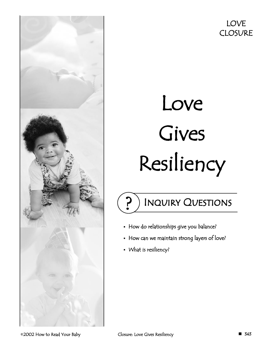

# Love Gives Resiliency

# Inquiry Questions

- How do relationships give you balance?
- How can we maintain strong layers of love?
- What is resiliency?

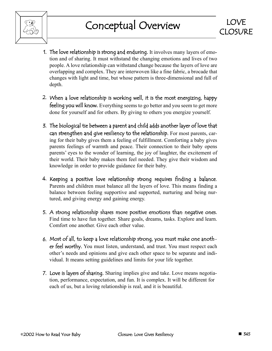

- 1. The love relationship is strong and enduring. It involves many layers of emotion and of sharing. It must withstand the changing emotions and lives of two people. A love relationship can withstand change because the layers of love are overlapping and complex. They are interwoven like a fine fabric, a brocade that changes with light and time, but whose pattern is three-dimensional and full of depth.
- 2. When a love relationship is working well, it is the most energizing, happy feeling you will know. Everything seems to go better and you seem to get more done for yourself and for others. By giving to others you energize yourself.
- 3. The biological tie between a parent and child adds another layer of love that can strengthen and give resiliency to the relationship. For most parents, caring for their baby gives them a feeling of fulfillment. Comforting a baby gives parents feelings of warmth and peace. Their connection to their baby opens parents' eyes to the wonder of learning, the joy of laughter, the excitement of their world. Their baby makes them feel needed. They give their wisdom and knowledge in order to provide guidance for their baby.
- 4. Keeping a positive love relationship strong requires finding a balance. Parents and children must balance all the layers of love. This means finding a balance between feeling supportive and supported, nurturing and being nurtured, and giving energy and gaining energy.
- 5. A strong relationship shares more positive emotions than negative ones. Find time to have fun together. Share goals, dreams, tasks. Explore and learn. Comfort one another. Give each other value.
- 6. Most of all, to keep a love relationship strong, you must make one another feel worthy. You must listen, understand, and trust. You must respect each other's needs and opinions and give each other space to be separate and individual. It means setting guidelines and limits for your life together.
- 7. Love is layers of sharing. Sharing implies give and take. Love means negotiation, performance, expectation, and fun. It is complex. It will be different for each of us, but a loving relationship is real, and it is beautiful.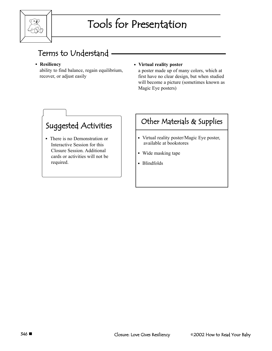

### Terms to Understand

#### **Resiliency**

ability to find balance, regain equilibrium, recover, or adjust easily

#### **Virtual reality poster**

a poster made up of many colors, which at first have no clear design, but when studied will become a picture (sometimes known as Magic Eye posters)

### Suggested Activities

 There is no Demonstration or Interactive Session for this Closure Session. Additional cards or activities will not be required.

### Other Materials & Supplies

- Virtual reality poster/Magic Eye poster, available at bookstores
- Wide masking tape
- **Blindfolds**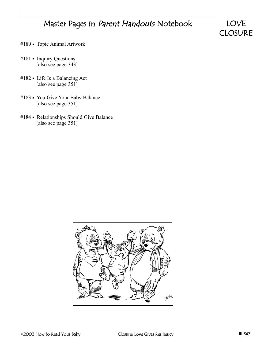### Master Pages in Parent Handouts Notebook

LOVE **CLOSURE** 

- #180 Topic Animal Artwork
- #181 Inquiry Questions [also see page 343]
- #182 Life Is a Balancing Act [also see page 351]
- #183 You Give Your Baby Balance [also see page 351]
- #184 Relationships Should Give Balance [also see page 351]

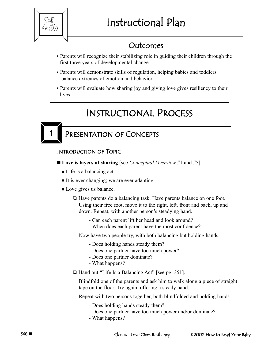

# Instructional Plan

### Outcomes

- Parents will recognize their stabilizing role in guiding their children through the first three years of developmental change.
- Parents will demonstrate skills of regulation, helping babies and toddlers balance extremes of emotion and behavior.
- Parents will evaluate how sharing joy and giving love gives resiliency to their lives.

### Instructional Process



### PRESENTATION OF CONCEPTS

#### Introduction of Topic

- **Love is layers of sharing** [see *Conceptual Overview* #1 and #5].
	- Life is a balancing act.
	- It is ever changing; we are ever adapting.
	- Love gives us balance.
		- □ Have parents do a balancing task. Have parents balance on one foot. Using their free foot, move it to the right, left, front and back, up and down. Repeat, with another person's steadying hand.
			- Can each parent lift her head and look around?
			- When does each parent have the most confidence?

Now have two people try, with both balancing but holding hands.

- Does holding hands steady them?
- Does one partner have too much power?
- Does one partner dominate?
- What happens?

□ Hand out "Life Is a Balancing Act" [see pg. 351].

Blindfold one of the parents and ask him to walk along a piece of straight tape on the floor. Try again, offering a steady hand.

Repeat with two persons together, both blindfolded and holding hands.

- Does holding hands steady them?
- Does one partner have too much power and/or dominate?
- What happens?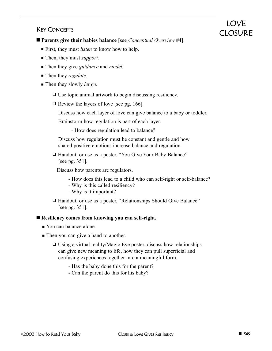#### Key Concepts

**Parents give their babies balance** [see *Conceptual Overview* #4].

- First, they must *listen* to know how to help.
- Then, they must *support*.
- Then they give *guidance* and *model*.
- Then they *regulate*.
- Then they slowly *let go*.
	- □ Use topic animal artwork to begin discussing resiliency.
	- $\Box$  Review the layers of love [see pg. 166].

Discuss how each layer of love can give balance to a baby or toddler.

Brainstorm how regulation is part of each layer.

- How does regulation lead to balance?

Discuss how regulation must be constant and gentle and how shared positive emotions increase balance and regulation.

□ Handout, or use as a poster, "You Give Your Baby Balance" [see pg. 351].

Discuss how parents are regulators.

- How does this lead to a child who can self-right or self-balance?
- Why is this called resiliency?
- Why is it important?
- □ Handout, or use as a poster, "Relationships Should Give Balance" [see pg. 351].

#### ■ Resiliency comes from knowing you can self-right.

- Vou can balance alone.
- **Then you can give a hand to another.** 
	- □ Using a virtual reality/Magic Eye poster, discuss how relationships can give new meaning to life, how they can pull superficial and confusing experiences together into a meaningful form.
		- Has the baby done this for the parent?
		- Can the parent do this for his baby?

LOVE CLOSURE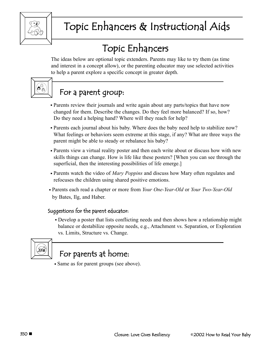

# Topic Enhancers & Instructional Aids

# Topic Enhancers

The ideas below are optional topic extenders. Parents may like to try them (as time and interest in a concept allow), or the parenting educator may use selected activities to help a parent explore a specific concept in greater depth.



### For a parent group:

- Parents review their journals and write again about any parts/topics that have now changed for them. Describe the changes. Do they feel more balanced? If so, how? Do they need a helping hand? Where will they reach for help?
- Parents each journal about his baby. Where does the baby need help to stabilize now? What feelings or behaviors seem extreme at this stage, if any? What are three ways the parent might be able to steady or rebalance his baby?
- Parents view a virtual reality poster and then each write about or discuss how with new skills things can change. How is life like these posters? [When you can see through the superficial, then the interesting possibilities of life emerge.]
- Parents watch the video of *Mary Poppins* and discuss how Mary often regulates and refocuses the children using shared positive emotions.
- Parents each read a chapter or more from *Your One-Year-Old* or *Your Two-Year-Old* by Bates, Ilg, and Haber.

#### Suggestions for the parent educator:

 Develop a poster that lists conflicting needs and then shows how a relationship might balance or destabilize opposite needs, e.g., Attachment vs. Separation, or Exploration vs. Limits, Structure vs. Change.



# For parents at home:

Same as for parent groups (see above).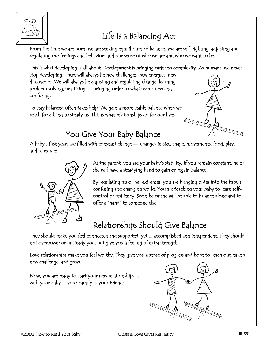

# Life Is a Balancing Act

From the time we are born, we are seeking equilibrium or balance. We are self-righting, adjusting and regulating our feelings and behaviors and our sense of who we are and who we want to be.

This is what developing is all about. Development is bringing order to complexity. As humans, we never

stop developing. There will always be new challenges, new energies, new discoveries. We will always be adjusting and regulating change, learning, problem solving, practicing — bringing order to what seems new and confusing.

To stay balanced often takes help. We gain a more stable balance when we reach for a hand to steady us. This is what relationships do for our lives.



## You Give Your Baby Balance

A baby's first years are filled with constant change — changes in size, shape, movements, food, play, and schedules.



As the parent, you are your baby's stability. If you remain constant, he or she will have a steadying hand to gain or regain balance.

By regulating his or her extremes, you are bringing order into the baby's confusing and changing world. You are teaching your baby to learn selfcontrol or resiliency. Soon he or she will be able to balance alone and to offer a "hand" to someone else.

# Relationships Should Give Balance

They should make you feel connected and supported, yet ... accomplished and independent. They should not overpower or unsteady you, but give you a feeling of extra strength.

Love relationships make you feel worthy. They give you a sense of progress and hope to reach out, take a new challenge, and grow.

Now, you are ready to start your new relationships ... with your Baby ... your Family ... your Friends.

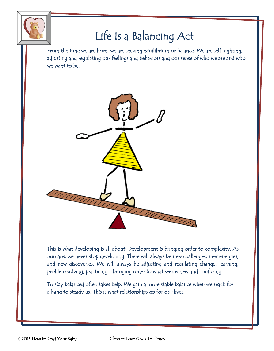

# Life Is a Balancing Act

From the time we are born, we are seeking equilibrium or balance. We are self-righting, adjusting and regulating our feelings and behaviors and our sense of who we are and who we want to be.



This is what developing is all about. Development is bringing order to complexity. As humans, we never stop developing. There will always be new challenges, new energies, and new discoveries. We will always be adjusting and regulating change, learning, problem solving, practicing - bringing order to what seems new and confusing.

To stay balanced often takes help. We gain a more stable balance when we reach for a hand to steady us. This is what relationships do for our lives.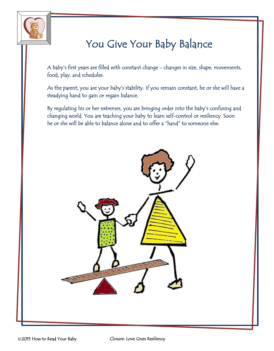

# You Give Your Baby Balance

A baby's first years are filled with constant change - changes in size, shape, movements, food, play, and schedules.

As the parent, you are your baby's stability. If you remain constant, he or she will have a steadying hand to gain or regain balance.

By regulating his or her extremes, you are bringing order into the baby's confusing and changing world. You are teaching your baby to learn self-control or resiliency. Soon he or she will be able to balance alone and to offer a "hand" to someone else.